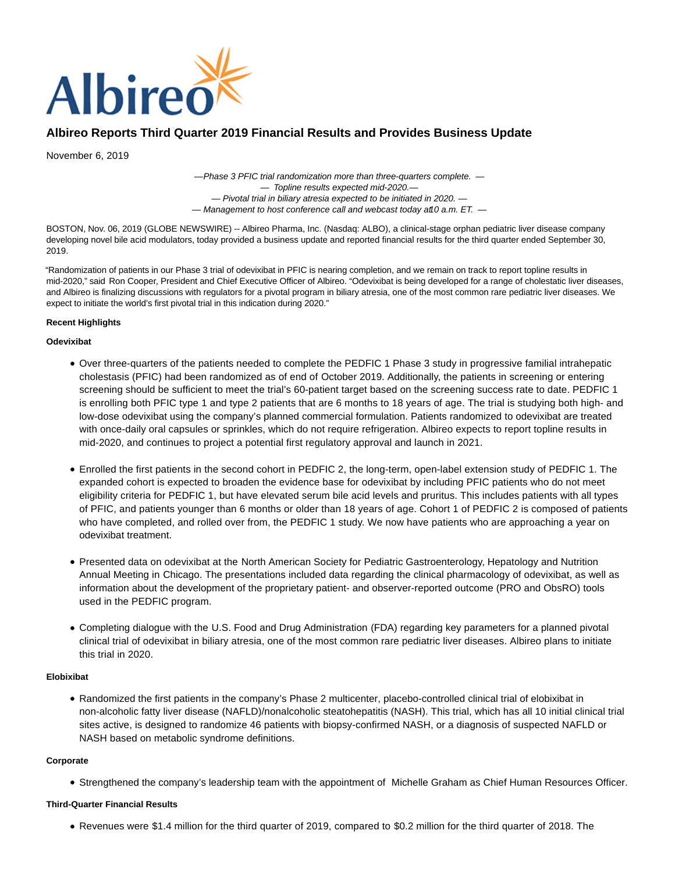

# **Albireo Reports Third Quarter 2019 Financial Results and Provides Business Update**

November 6, 2019

— Phase 3 PFIC trial randomization more than three-quarters complete. — — Topline results expected mid-2020. — — Pivotal trial in biliary atresia expected to be initiated in 2020. —  $-$  Management to host conference call and webcast today at 0 a.m. ET.  $-$ 

BOSTON, Nov. 06, 2019 (GLOBE NEWSWIRE) -- Albireo Pharma, Inc. (Nasdaq: ALBO), a clinical-stage orphan pediatric liver disease company developing novel bile acid modulators, today provided a business update and reported financial results for the third quarter ended September 30, 2019.

"Randomization of patients in our Phase 3 trial of odevixibat in PFIC is nearing completion, and we remain on track to report topline results in mid-2020," said Ron Cooper, President and Chief Executive Officer of Albireo. "Odevixibat is being developed for a range of cholestatic liver diseases, and Albireo is finalizing discussions with regulators for a pivotal program in biliary atresia, one of the most common rare pediatric liver diseases. We expect to initiate the world's first pivotal trial in this indication during 2020."

# **Recent Highlights**

## **Odevixibat**

- Over three-quarters of the patients needed to complete the PEDFIC 1 Phase 3 study in progressive familial intrahepatic cholestasis (PFIC) had been randomized as of end of October 2019. Additionally, the patients in screening or entering screening should be sufficient to meet the trial's 60-patient target based on the screening success rate to date. PEDFIC 1 is enrolling both PFIC type 1 and type 2 patients that are 6 months to 18 years of age. The trial is studying both high- and low-dose odevixibat using the company's planned commercial formulation. Patients randomized to odevixibat are treated with once-daily oral capsules or sprinkles, which do not require refrigeration. Albireo expects to report topline results in mid-2020, and continues to project a potential first regulatory approval and launch in 2021.
- Enrolled the first patients in the second cohort in PEDFIC 2, the long-term, open-label extension study of PEDFIC 1. The expanded cohort is expected to broaden the evidence base for odevixibat by including PFIC patients who do not meet eligibility criteria for PEDFIC 1, but have elevated serum bile acid levels and pruritus. This includes patients with all types of PFIC, and patients younger than 6 months or older than 18 years of age. Cohort 1 of PEDFIC 2 is composed of patients who have completed, and rolled over from, the PEDFIC 1 study. We now have patients who are approaching a year on odevixibat treatment.
- Presented data on odevixibat at the North American Society for Pediatric Gastroenterology, Hepatology and Nutrition Annual Meeting in Chicago. The presentations included data regarding the clinical pharmacology of odevixibat, as well as information about the development of the proprietary patient- and observer-reported outcome (PRO and ObsRO) tools used in the PEDFIC program.
- Completing dialogue with the U.S. Food and Drug Administration (FDA) regarding key parameters for a planned pivotal clinical trial of odevixibat in biliary atresia, one of the most common rare pediatric liver diseases. Albireo plans to initiate this trial in 2020.

# **Elobixibat**

Randomized the first patients in the company's Phase 2 multicenter, placebo-controlled clinical trial of elobixibat in non-alcoholic fatty liver disease (NAFLD)/nonalcoholic steatohepatitis (NASH). This trial, which has all 10 initial clinical trial sites active, is designed to randomize 46 patients with biopsy-confirmed NASH, or a diagnosis of suspected NAFLD or NASH based on metabolic syndrome definitions.

## **Corporate**

Strengthened the company's leadership team with the appointment of Michelle Graham as Chief Human Resources Officer.

## **Third-Quarter Financial Results**

Revenues were \$1.4 million for the third quarter of 2019, compared to \$0.2 million for the third quarter of 2018. The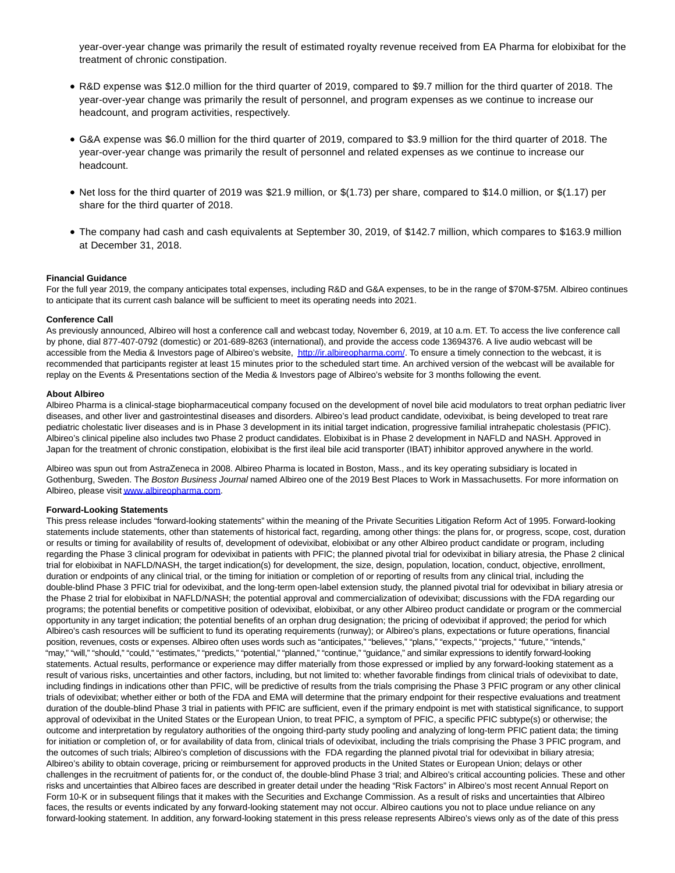year-over-year change was primarily the result of estimated royalty revenue received from EA Pharma for elobixibat for the treatment of chronic constipation.

- R&D expense was \$12.0 million for the third quarter of 2019, compared to \$9.7 million for the third quarter of 2018. The year-over-year change was primarily the result of personnel, and program expenses as we continue to increase our headcount, and program activities, respectively.
- G&A expense was \$6.0 million for the third quarter of 2019, compared to \$3.9 million for the third quarter of 2018. The year-over-year change was primarily the result of personnel and related expenses as we continue to increase our headcount.
- Net loss for the third quarter of 2019 was \$21.9 million, or  $$(1.73)$  per share, compared to \$14.0 million, or  $$(1.17)$  per share for the third quarter of 2018.
- The company had cash and cash equivalents at September 30, 2019, of \$142.7 million, which compares to \$163.9 million at December 31, 2018.

#### **Financial Guidance**

For the full year 2019, the company anticipates total expenses, including R&D and G&A expenses, to be in the range of \$70M-\$75M. Albireo continues to anticipate that its current cash balance will be sufficient to meet its operating needs into 2021.

#### **Conference Call**

As previously announced, Albireo will host a conference call and webcast today, November 6, 2019, at 10 a.m. ET. To access the live conference call by phone, dial 877-407-0792 (domestic) or 201-689-8263 (international), and provide the access code 13694376. A live audio webcast will be accessible from the Media & Investors page of Albireo's website, [http://ir.albireopharma.com/.](https://www.globenewswire.com/Tracker?data=t1mv-OuuFfLKF3H6rJrE9OMyeF31PP4vN9fLojENY-18RAyG9IUIjeoE9mnUY6cS2UMm3tlscLJNG_6M7TmBJSKqeMZ5VXdBBHTN1pFEILA=) To ensure a timely connection to the webcast, it is recommended that participants register at least 15 minutes prior to the scheduled start time. An archived version of the webcast will be available for replay on the Events & Presentations section of the Media & Investors page of Albireo's website for 3 months following the event.

#### **About Albireo**

Albireo Pharma is a clinical-stage biopharmaceutical company focused on the development of novel bile acid modulators to treat orphan pediatric liver diseases, and other liver and gastrointestinal diseases and disorders. Albireo's lead product candidate, odevixibat, is being developed to treat rare pediatric cholestatic liver diseases and is in Phase 3 development in its initial target indication, progressive familial intrahepatic cholestasis (PFIC). Albireo's clinical pipeline also includes two Phase 2 product candidates. Elobixibat is in Phase 2 development in NAFLD and NASH. Approved in Japan for the treatment of chronic constipation, elobixibat is the first ileal bile acid transporter (IBAT) inhibitor approved anywhere in the world.

Albireo was spun out from AstraZeneca in 2008. Albireo Pharma is located in Boston, Mass., and its key operating subsidiary is located in Gothenburg, Sweden. The Boston Business Journal named Albireo one of the 2019 Best Places to Work in Massachusetts. For more information on Albireo, please visi[t www.albireopharma.com.](http://www.albireopharma.com/)

#### **Forward-Looking Statements**

This press release includes "forward-looking statements" within the meaning of the Private Securities Litigation Reform Act of 1995. Forward-looking statements include statements, other than statements of historical fact, regarding, among other things: the plans for, or progress, scope, cost, duration or results or timing for availability of results of, development of odevixibat, elobixibat or any other Albireo product candidate or program, including regarding the Phase 3 clinical program for odevixibat in patients with PFIC; the planned pivotal trial for odevixibat in biliary atresia, the Phase 2 clinical trial for elobixibat in NAFLD/NASH, the target indication(s) for development, the size, design, population, location, conduct, objective, enrollment, duration or endpoints of any clinical trial, or the timing for initiation or completion of or reporting of results from any clinical trial, including the double-blind Phase 3 PFIC trial for odevixibat, and the long-term open-label extension study, the planned pivotal trial for odevixibat in biliary atresia or the Phase 2 trial for elobixibat in NAFLD/NASH; the potential approval and commercialization of odevixibat; discussions with the FDA regarding our programs; the potential benefits or competitive position of odevixibat, elobixibat, or any other Albireo product candidate or program or the commercial opportunity in any target indication; the potential benefits of an orphan drug designation; the pricing of odevixibat if approved; the period for which Albireo's cash resources will be sufficient to fund its operating requirements (runway); or Albireo's plans, expectations or future operations, financial position, revenues, costs or expenses. Albireo often uses words such as "anticipates," "believes," "plans," "expects," "projects," "future," "intends," "may," "will," "should," "could," "estimates," "predicts," "potential," "planned," "continue," "guidance," and similar expressions to identify forward-looking statements. Actual results, performance or experience may differ materially from those expressed or implied by any forward-looking statement as a result of various risks, uncertainties and other factors, including, but not limited to: whether favorable findings from clinical trials of odevixibat to date, including findings in indications other than PFIC, will be predictive of results from the trials comprising the Phase 3 PFIC program or any other clinical trials of odevixibat; whether either or both of the FDA and EMA will determine that the primary endpoint for their respective evaluations and treatment duration of the double-blind Phase 3 trial in patients with PFIC are sufficient, even if the primary endpoint is met with statistical significance, to support approval of odevixibat in the United States or the European Union, to treat PFIC, a symptom of PFIC, a specific PFIC subtype(s) or otherwise; the outcome and interpretation by regulatory authorities of the ongoing third-party study pooling and analyzing of long-term PFIC patient data; the timing for initiation or completion of, or for availability of data from, clinical trials of odevixibat, including the trials comprising the Phase 3 PFIC program, and the outcomes of such trials; Albireo's completion of discussions with the FDA regarding the planned pivotal trial for odevixibat in biliary atresia; Albireo's ability to obtain coverage, pricing or reimbursement for approved products in the United States or European Union; delays or other challenges in the recruitment of patients for, or the conduct of, the double-blind Phase 3 trial; and Albireo's critical accounting policies. These and other risks and uncertainties that Albireo faces are described in greater detail under the heading "Risk Factors" in Albireo's most recent Annual Report on Form 10-K or in subsequent filings that it makes with the Securities and Exchange Commission. As a result of risks and uncertainties that Albireo faces, the results or events indicated by any forward-looking statement may not occur. Albireo cautions you not to place undue reliance on any forward-looking statement. In addition, any forward-looking statement in this press release represents Albireo's views only as of the date of this press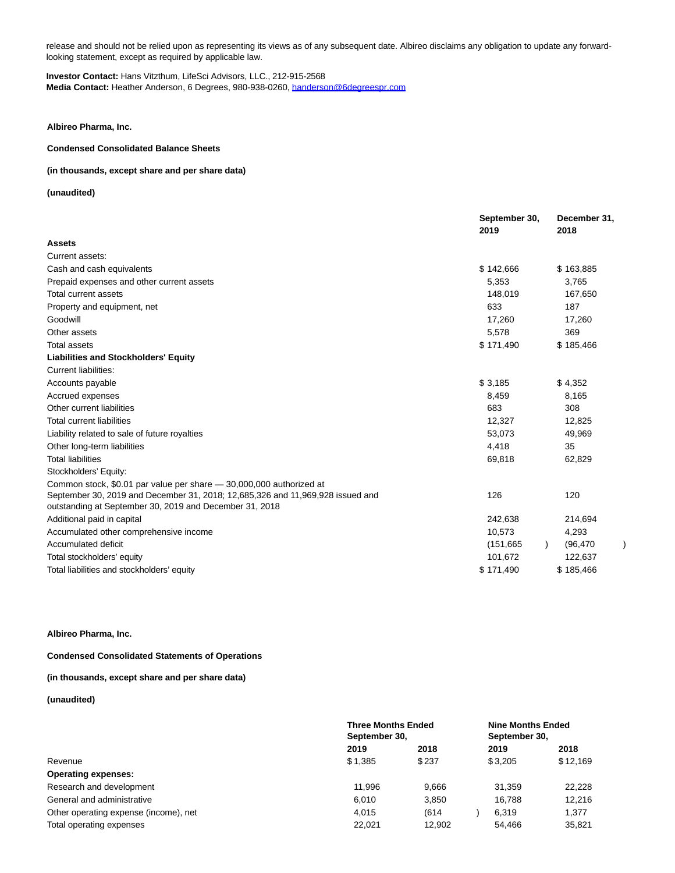release and should not be relied upon as representing its views as of any subsequent date. Albireo disclaims any obligation to update any forwardlooking statement, except as required by applicable law.

#### **Investor Contact:** Hans Vitzthum, LifeSci Advisors, LLC., 212-915-2568 **Media Contact:** Heather Anderson, 6 Degrees, 980-938-0260[, handerson@6degreespr.com](https://www.globenewswire.com/Tracker?data=pQ50LNIV-4F9NJ_V_BRsvezFFACcqTqIKrOwJDR5ezuGNRwAuIaj9ZnRoS3HP9-B9d6ZZ66KofjXQuR_Wa73OR2kpvc5TCB6PTuddSuH02Q=)

**Albireo Pharma, Inc.**

# **Condensed Consolidated Balance Sheets**

## **(in thousands, except share and per share data)**

**(unaudited)**

|                                                                                                                                           | September 30,<br>2019 | December 31,<br>2018 |  |  |
|-------------------------------------------------------------------------------------------------------------------------------------------|-----------------------|----------------------|--|--|
| <b>Assets</b>                                                                                                                             |                       |                      |  |  |
| Current assets:                                                                                                                           |                       |                      |  |  |
| Cash and cash equivalents                                                                                                                 | \$142,666             | \$163,885            |  |  |
| Prepaid expenses and other current assets                                                                                                 | 5,353                 | 3,765                |  |  |
| Total current assets                                                                                                                      | 148,019               | 167,650              |  |  |
| Property and equipment, net                                                                                                               | 633                   | 187                  |  |  |
| Goodwill                                                                                                                                  | 17,260                | 17,260               |  |  |
| Other assets                                                                                                                              | 5,578                 | 369                  |  |  |
| <b>Total assets</b>                                                                                                                       | \$171,490             | \$185,466            |  |  |
| <b>Liabilities and Stockholders' Equity</b>                                                                                               |                       |                      |  |  |
| Current liabilities:                                                                                                                      |                       |                      |  |  |
| Accounts payable                                                                                                                          | \$3,185               | \$4,352              |  |  |
| Accrued expenses                                                                                                                          | 8,459                 | 8,165                |  |  |
| Other current liabilities                                                                                                                 | 683                   | 308                  |  |  |
| <b>Total current liabilities</b>                                                                                                          | 12,327                | 12,825               |  |  |
| Liability related to sale of future royalties                                                                                             | 53,073                | 49,969               |  |  |
| Other long-term liabilities                                                                                                               | 4,418                 | 35                   |  |  |
| <b>Total liabilities</b>                                                                                                                  | 69,818                | 62,829               |  |  |
| Stockholders' Equity:                                                                                                                     |                       |                      |  |  |
| Common stock, \$0.01 par value per share - 30,000,000 authorized at                                                                       |                       |                      |  |  |
| September 30, 2019 and December 31, 2018; 12,685,326 and 11,969,928 issued and<br>outstanding at September 30, 2019 and December 31, 2018 | 126                   | 120                  |  |  |
| Additional paid in capital                                                                                                                | 242,638               | 214,694              |  |  |
| Accumulated other comprehensive income                                                                                                    | 10,573                | 4,293                |  |  |
| Accumulated deficit                                                                                                                       | (151, 665)            | (96, 470)            |  |  |
| Total stockholders' equity                                                                                                                | 101,672               | 122,637              |  |  |
| Total liabilities and stockholders' equity                                                                                                | \$171,490             | \$185,466            |  |  |

#### **Albireo Pharma, Inc.**

**Condensed Consolidated Statements of Operations**

# **(in thousands, except share and per share data)**

**(unaudited)**

|                                       | <b>Three Months Ended</b><br>September 30, |        | <b>Nine Months Ended</b><br>September 30, |          |  |  |
|---------------------------------------|--------------------------------------------|--------|-------------------------------------------|----------|--|--|
|                                       | 2019                                       | 2018   | 2019                                      | 2018     |  |  |
| Revenue                               | \$1.385                                    | \$237  | \$3.205                                   | \$12,169 |  |  |
| <b>Operating expenses:</b>            |                                            |        |                                           |          |  |  |
| Research and development              | 11.996                                     | 9,666  | 31.359                                    | 22.228   |  |  |
| General and administrative            | 6.010                                      | 3,850  | 16.788                                    | 12.216   |  |  |
| Other operating expense (income), net | 4.015                                      | (614)  | 6.319                                     | 1,377    |  |  |
| Total operating expenses              | 22.021                                     | 12.902 | 54.466                                    | 35,821   |  |  |